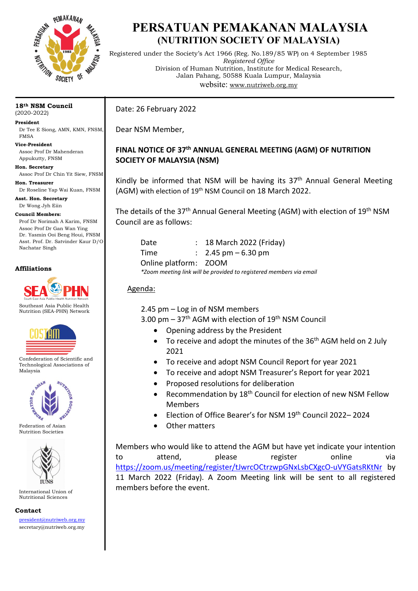

# **PERSATUAN PEMAKANAN MALAYSIA (NUTRITION SOCIETY OF MALAYSIA)**

Registered under the Society's Act 1966 (Reg. No.189/85 WP) on 4 September 1985 *Registered Office* Division of Human Nutrition, Institute for Medical Research, Jalan Pahang, 50588 Kuala Lumpur, Malaysia website: [www.nutriweb.org.my](http://www.nutriweb.org.my/)

#### **18th NSM Council**  (2020-2022)

**President** Dr Tee E Siong, AMN, KMN, FNSM, FMSA

**Vice-President** Assoc Prof Dr Mahenderan Appukutty, FNSM

**Hon. Secretary** Assoc Prof Dr Chin Yit Siew, FNSM

**Hon. Treasurer** Dr Roseline Yap Wai Kuan, FNSM

**Asst. Hon. Secretary**

Dr Wong Jyh Eiin

**Council Members:**

Prof Dr Norimah A Karim, FNSM Assoc Prof Dr Gan Wan Ying Dr. Yasmin Ooi Beng Houi, FNSM Asst. Prof. Dr. Satvinder Kaur D/O Nachatar Singh

### **Affiliations**



Southeast Asia Public Health Nutrition (SEA-PHN) Network



Confederation of Scientific and Technological Associations of Malaysia



Federation of Asian Nutrition Societies



International Union of Nutritional Sciences

**Contact**

[president@nutriweb.org.my](mailto:president@nutriweb.org.my) secretary@nutriweb.org.my

Date: 26 February 2022

Dear NSM Member,

## **FINAL NOTICE OF 37th ANNUAL GENERAL MEETING (AGM) OF NUTRITION SOCIETY OF MALAYSIA (NSM)**

Kindly be informed that NSM will be having its 37<sup>th</sup> Annual General Meeting (AGM) with election of 19<sup>th</sup> NSM Council on 18 March 2022.

The details of the 37<sup>th</sup> Annual General Meeting (AGM) with election of 19<sup>th</sup> NSM Council are as follows:

| Date                  | : 18 March 2022 (Friday)                                            |
|-----------------------|---------------------------------------------------------------------|
| Time                  | $\therefore$ 2.45 pm $-6.30$ pm                                     |
| Online platform: ZOOM |                                                                     |
|                       | *Zoom meeting link will be provided to registered members via email |

## Agenda:

2.45 pm – Log in of NSM members

3.00 pm  $-37$ <sup>th</sup> AGM with election of 19<sup>th</sup> NSM Council

- Opening address by the President
- To receive and adopt the minutes of the 36<sup>th</sup> AGM held on 2 July 2021
- To receive and adopt NSM Council Report for year 2021
- To receive and adopt NSM Treasurer's Report for year 2021
- Proposed resolutions for deliberation
- Recommendation by 18<sup>th</sup> Council for election of new NSM Fellow Members
- Election of Office Bearer's for NSM 19th Council 2022– 2024
- Other matters

Members who would like to attend the AGM but have yet indicate your intention to attend, please register online via <https://zoom.us/meeting/register/tJwrcOCtrzwpGNxLsbCXgcO-uVYGatsRKtNr> by 11 March 2022 (Friday). A Zoom Meeting link will be sent to all registered members before the event.